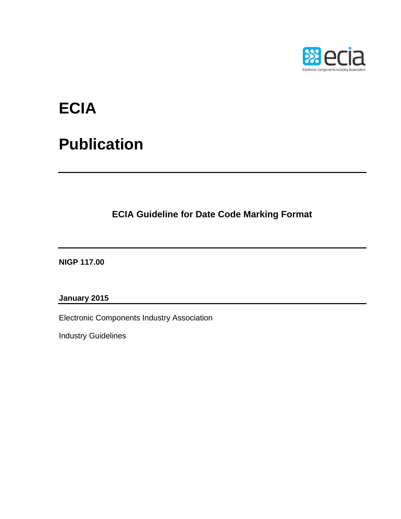

# **ECIA**

# **Publication**

**ECIA Guideline for Date Code Marking Format**

**NIGP 117.00** 

**January 2015** 

Electronic Components Industry Association

Industry Guidelines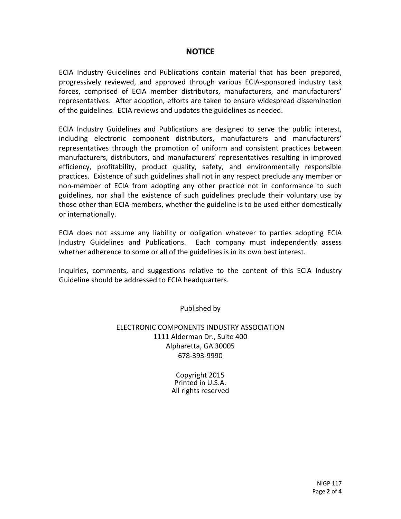## **NOTICE**

ECIA Industry Guidelines and Publications contain material that has been prepared, progressively reviewed, and approved through various ECIA‐sponsored industry task forces, comprised of ECIA member distributors, manufacturers, and manufacturers' representatives. After adoption, efforts are taken to ensure widespread dissemination of the guidelines. ECIA reviews and updates the guidelines as needed.

ECIA Industry Guidelines and Publications are designed to serve the public interest, including electronic component distributors, manufacturers and manufacturers' representatives through the promotion of uniform and consistent practices between manufacturers, distributors, and manufacturers' representatives resulting in improved efficiency, profitability, product quality, safety, and environmentally responsible practices. Existence of such guidelines shall not in any respect preclude any member or non‐member of ECIA from adopting any other practice not in conformance to such guidelines, nor shall the existence of such guidelines preclude their voluntary use by those other than ECIA members, whether the guideline is to be used either domestically or internationally.

ECIA does not assume any liability or obligation whatever to parties adopting ECIA Industry Guidelines and Publications. Each company must independently assess whether adherence to some or all of the guidelines is in its own best interest.

Inquiries, comments, and suggestions relative to the content of this ECIA Industry Guideline should be addressed to ECIA headquarters.

Published by

ELECTRONIC COMPONENTS INDUSTRY ASSOCIATION 1111 Alderman Dr., Suite 400 Alpharetta, GA 30005 678‐393‐9990

> Copyright 2015 Printed in U.S.A. All rights reserved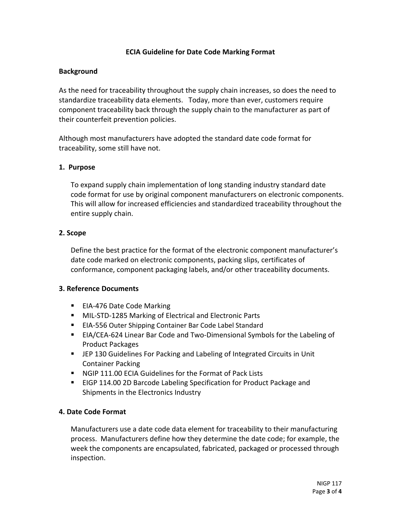### **ECIA Guideline for Date Code Marking Format**

#### **Background**

As the need for traceability throughout the supply chain increases, so does the need to standardize traceability data elements. Today, more than ever, customers require component traceability back through the supply chain to the manufacturer as part of their counterfeit prevention policies.

Although most manufacturers have adopted the standard date code format for traceability, some still have not.

#### **1. Purpose**

To expand supply chain implementation of long standing industry standard date code format for use by original component manufacturers on electronic components. This will allow for increased efficiencies and standardized traceability throughout the entire supply chain.

### **2. Scope**

Define the best practice for the format of the electronic component manufacturer's date code marked on electronic components, packing slips, certificates of conformance, component packaging labels, and/or other traceability documents.

#### **3. Reference Documents**

- EIA-476 Date Code Marking
- MIL-STD-1285 Marking of Electrical and Electronic Parts
- EIA-556 Outer Shipping Container Bar Code Label Standard
- EIA/CEA-624 Linear Bar Code and Two-Dimensional Symbols for the Labeling of Product Packages
- JEP 130 Guidelines For Packing and Labeling of Integrated Circuits in Unit Container Packing
- NGIP 111.00 ECIA Guidelines for the Format of Pack Lists
- EIGP 114.00 2D Barcode Labeling Specification for Product Package and Shipments in the Electronics Industry

#### **4. Date Code Format**

Manufacturers use a date code data element for traceability to their manufacturing process. Manufacturers define how they determine the date code; for example, the week the components are encapsulated, fabricated, packaged or processed through inspection.